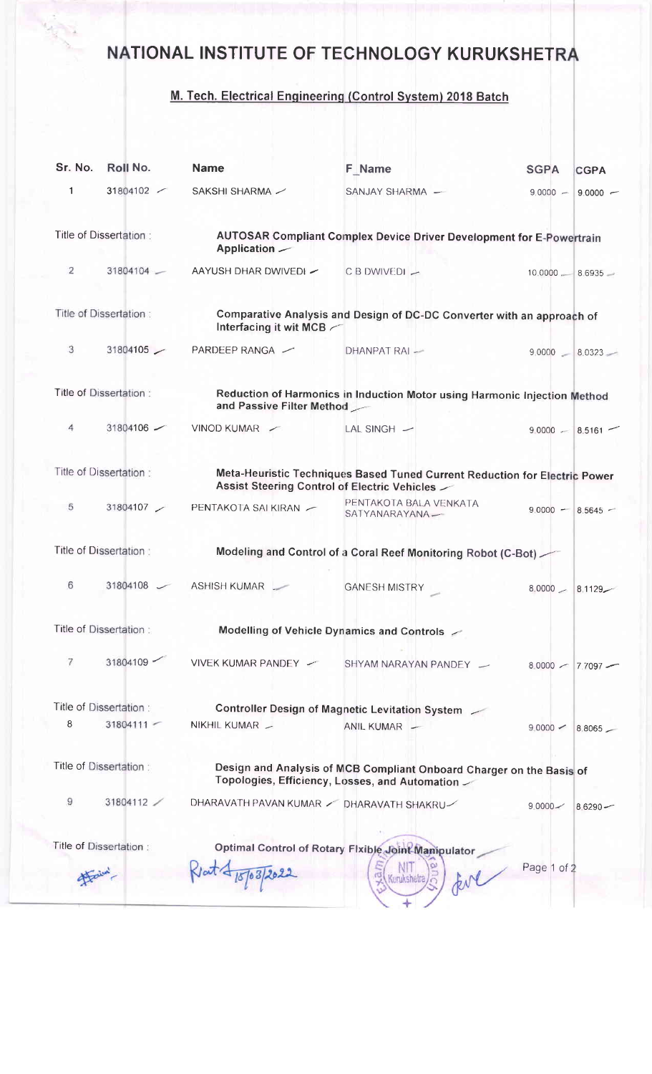## NATIONAL INSTITUTE OF TECHNOLOGY KURUKSHETRA

## M. Tech. Electrical Engineering (Control System) 2018 Batch

| Sr. No.                | Roll No.                                                                                                                                             | <b>Name</b>                                            | <b>F</b> Name                                                                                                                   | <b>SGPA</b>         | <b>CGPA</b>         |  |  |
|------------------------|------------------------------------------------------------------------------------------------------------------------------------------------------|--------------------------------------------------------|---------------------------------------------------------------------------------------------------------------------------------|---------------------|---------------------|--|--|
| $\mathbf{1}$           | 31804102 /                                                                                                                                           | SAKSHI SHARMA /                                        | SANJAY SHARMA -                                                                                                                 | $9,0000 -$          | $9.0000 -$          |  |  |
|                        | Title of Dissertation:                                                                                                                               | Application —                                          | <b>AUTOSAR Compliant Complex Device Driver Development for E-Powertrain</b>                                                     |                     |                     |  |  |
| 2                      | 31804104                                                                                                                                             | AAYUSH DHAR DWIVEDI -                                  | $CB$ DWIVEDI $-$                                                                                                                | $10.0000 = 8.6935$  |                     |  |  |
|                        | Title of Dissertation:                                                                                                                               | Interfacing it wit MCB                                 | Comparative Analysis and Design of DC-DC Converter with an approach of                                                          |                     |                     |  |  |
| 3                      | 31804105                                                                                                                                             | PARDEEP RANGA -                                        | DHANPAT RAI -                                                                                                                   |                     | $9,0000 - 8.0323 -$ |  |  |
|                        | Title of Dissertation:                                                                                                                               | and Passive Filter Method                              | Reduction of Harmonics in Induction Motor using Harmonic Injection Method                                                       |                     |                     |  |  |
| 4                      | 31804106 -                                                                                                                                           | VINOD KUMAR                                            | LAL SINGH $-$                                                                                                                   |                     | $9,0000 - 8.5161$   |  |  |
|                        | Title of Dissertation:<br>Meta-Heuristic Techniques Based Tuned Current Reduction for Electric Power<br>Assist Steering Control of Electric Vehicles |                                                        |                                                                                                                                 |                     |                     |  |  |
| 5                      |                                                                                                                                                      | 31804107 / PENTAKOTA SAI KIRAN /                       | PENTAKOTA BALA VENKATA<br>SATYANARAYANA-                                                                                        | $9.0000 - 8.5645 -$ |                     |  |  |
|                        | Title of Dissertation:                                                                                                                               |                                                        | Modeling and Control of a Coral Reef Monitoring Robot (C-Bot)                                                                   |                     |                     |  |  |
| 6                      |                                                                                                                                                      | 31804108 / ASHISH KUMAR                                | <b>GANESH MISTRY</b>                                                                                                            | $8.0000 - 8.1129 -$ |                     |  |  |
|                        | Title of Dissertation:                                                                                                                               |                                                        | Modelling of Vehicle Dynamics and Controls /                                                                                    |                     |                     |  |  |
| 7                      | 31804109                                                                                                                                             | VIVEK KUMAR PANDEY ~                                   | SHYAM NARAYAN PANDEY -                                                                                                          | $8,0000$ $-$        | $7.7097 -$          |  |  |
| Title of Dissertation: |                                                                                                                                                      | <b>Controller Design of Magnetic Levitation System</b> |                                                                                                                                 |                     |                     |  |  |
| 8                      | $31804111 -$                                                                                                                                         | NIKHIL KUMAR -                                         | ANIL KUMAR -                                                                                                                    | 90000               | 8.8065              |  |  |
|                        | Title of Dissertation:                                                                                                                               |                                                        | Design and Analysis of MCB Compliant Onboard Charger on the Basis of<br>Topologies, Efficiency, Losses, and Automation $\angle$ |                     |                     |  |  |
| 9                      | 31804112                                                                                                                                             | DHARAVATH PAVAN KUMAR / DHARAVATH SHAKRU/              |                                                                                                                                 | $9.0000 -$          | $86290 -$           |  |  |
|                        | Title of Dissertation:                                                                                                                               |                                                        | Optimal Control of Rotary Fixible Joint Manipulator                                                                             |                     |                     |  |  |
|                        |                                                                                                                                                      |                                                        | Kunikshetra                                                                                                                     | Page 1 of 2         |                     |  |  |